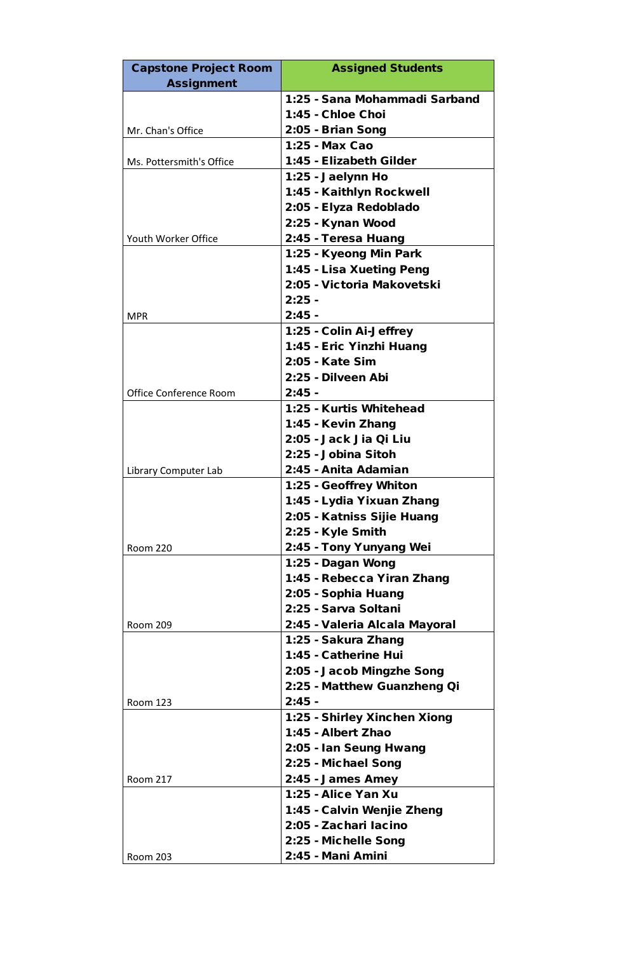| <b>Capstone Project Room</b>  | <b>Assigned Students</b>      |
|-------------------------------|-------------------------------|
| <b>Assignment</b>             |                               |
|                               | 1:25 - Sana Mohammadi Sarband |
|                               | 1:45 - Chloe Choi             |
| Mr. Chan's Office             | 2:05 - Brian Song             |
|                               | 1:25 - Max Cao                |
| Ms. Pottersmith's Office      | 1:45 - Elizabeth Gilder       |
|                               | 1:25 - Jaelynn Ho             |
|                               | 1:45 - Kaithlyn Rockwell      |
|                               | 2:05 - Elyza Redoblado        |
|                               | 2:25 - Kynan Wood             |
| Youth Worker Office           | 2:45 - Teresa Huang           |
|                               | 1:25 - Kyeong Min Park        |
|                               | 1:45 - Lisa Xueting Peng      |
|                               | 2:05 - Victoria Makovetski    |
|                               | $2:25 -$                      |
| <b>MPR</b>                    | $2:45 -$                      |
|                               | 1:25 - Colin Ai-Jeffrey       |
|                               | 1:45 - Eric Yinzhi Huang      |
|                               | 2:05 - Kate Sim               |
|                               | 2:25 - Dilveen Abi            |
| <b>Office Conference Room</b> | $2:45 -$                      |
|                               | 1:25 - Kurtis Whitehead       |
|                               | 1:45 - Kevin Zhang            |
|                               | 2:05 - Jack Jia Qi Liu        |
|                               | 2:25 - Jobina Sitoh           |
| Library Computer Lab          | 2:45 - Anita Adamian          |
|                               | 1:25 - Geoffrey Whiton        |
|                               | 1:45 - Lydia Yixuan Zhang     |
|                               | 2:05 - Katniss Sijie Huang    |
|                               | 2:25 - Kyle Smith             |
| <b>Room 220</b>               | 2:45 - Tony Yunyang Wei       |
|                               | 1:25 - Dagan Wong             |
|                               | 1:45 - Rebecca Yiran Zhang    |
|                               | 2:05 - Sophia Huang           |
|                               | 2:25 - Sarva Soltani          |
| <b>Room 209</b>               | 2:45 - Valeria Alcala Mayoral |
|                               | 1:25 - Sakura Zhang           |
|                               | 1:45 - Catherine Hui          |
|                               | 2:05 - Jacob Mingzhe Song     |
|                               | 2:25 - Matthew Guanzheng Qi   |
| <b>Room 123</b>               | $2:45 -$                      |
|                               | 1:25 - Shirley Xinchen Xiong  |
|                               | 1:45 - Albert Zhao            |
|                               | 2:05 - Ian Seung Hwang        |
|                               | 2:25 - Michael Song           |
| <b>Room 217</b>               | 2:45 - James Amey             |
|                               | 1:25 - Alice Yan Xu           |
|                               | 1:45 - Calvin Wenjie Zheng    |
|                               | 2:05 - Zachari Iacino         |
|                               | 2:25 - Michelle Song          |
| <b>Room 203</b>               | 2:45 - Mani Amini             |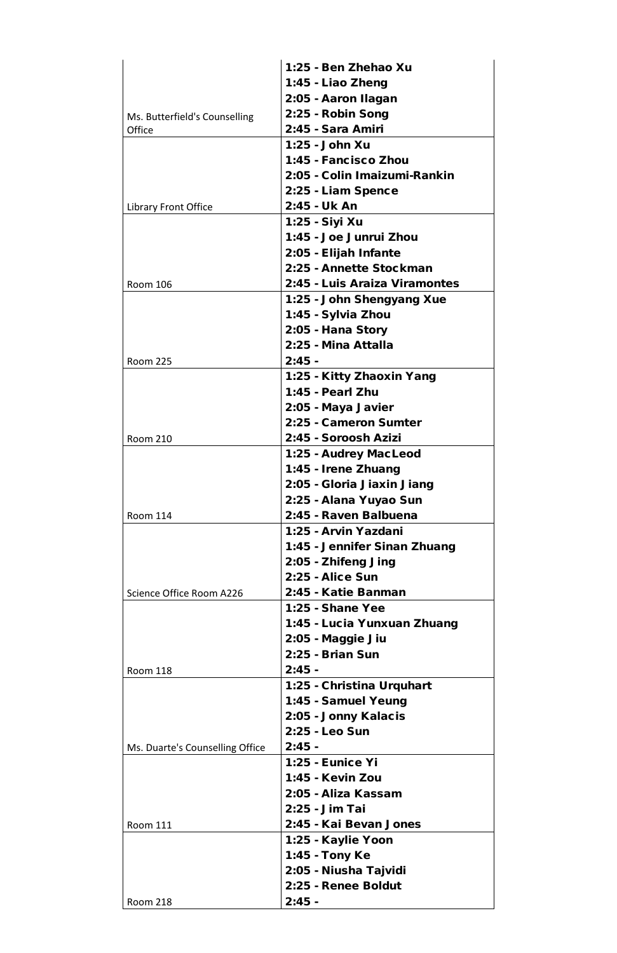|                                 | 1:25 - Ben Zhehao Xu          |
|---------------------------------|-------------------------------|
|                                 | 1:45 - Liao Zheng             |
|                                 | 2:05 - Aaron Ilagan           |
| Ms. Butterfield's Counselling   | 2:25 - Robin Song             |
| Office                          | 2:45 - Sara Amiri             |
|                                 | 1:25 - John Xu                |
|                                 | 1:45 - Fancisco Zhou          |
|                                 | 2:05 - Colin Imaizumi-Rankin  |
|                                 | 2:25 - Liam Spence            |
| Library Front Office            | 2:45 - Uk An                  |
|                                 | 1:25 - Siyi Xu                |
|                                 | 1:45 - Joe Junrui Zhou        |
|                                 | 2:05 - Elijah Infante         |
|                                 | 2:25 - Annette Stockman       |
| <b>Room 106</b>                 | 2:45 - Luis Araiza Viramontes |
|                                 |                               |
|                                 | 1:25 - John Shengyang Xue     |
|                                 | 1:45 - Sylvia Zhou            |
|                                 | 2:05 - Hana Story             |
|                                 | 2:25 - Mina Attalla           |
| <b>Room 225</b>                 | $2:45 -$                      |
|                                 | 1:25 - Kitty Zhaoxin Yang     |
|                                 | 1:45 - Pearl Zhu              |
|                                 | 2:05 - Maya Javier            |
|                                 | 2:25 - Cameron Sumter         |
| <b>Room 210</b>                 | 2:45 - Soroosh Azizi          |
|                                 | 1:25 - Audrey MacLeod         |
|                                 | 1:45 - Irene Zhuang           |
|                                 | 2:05 - Gloria Jiaxin Jiang    |
|                                 | 2:25 - Alana Yuyao Sun        |
| <b>Room 114</b>                 | 2:45 - Raven Balbuena         |
|                                 | 1:25 - Arvin Yazdani          |
|                                 | 1:45 - Jennifer Sinan Zhuang  |
|                                 | 2:05 - Zhifeng Jing           |
|                                 | <b>2:25 - Alice Sun</b>       |
| Science Office Room A226        | 2:45 - Katie Banman           |
|                                 | 1:25 - Shane Yee              |
|                                 | 1:45 - Lucia Yunxuan Zhuang   |
|                                 | 2:05 - Maggie Jiu             |
|                                 | 2:25 - Brian Sun              |
| <b>Room 118</b>                 | $2:45 -$                      |
|                                 | 1:25 - Christina Urquhart     |
|                                 | 1:45 - Samuel Yeung           |
|                                 | 2:05 - Jonny Kalacis          |
|                                 | 2:25 - Leo Sun                |
|                                 | $2:45 -$                      |
| Ms. Duarte's Counselling Office | 1:25 - Eunice Yi              |
|                                 |                               |
|                                 | 1:45 - Kevin Zou              |
|                                 | 2:05 - Aliza Kassam           |
|                                 | 2:25 - Jim Tai                |
| <b>Room 111</b>                 | 2:45 - Kai Bevan Jones        |
|                                 | 1:25 - Kaylie Yoon            |
|                                 | 1:45 - Tony Ke                |
|                                 | 2:05 - Niusha Tajvidi         |
|                                 | 2:25 - Renee Boldut           |
| <b>Room 218</b>                 | $2:45 -$                      |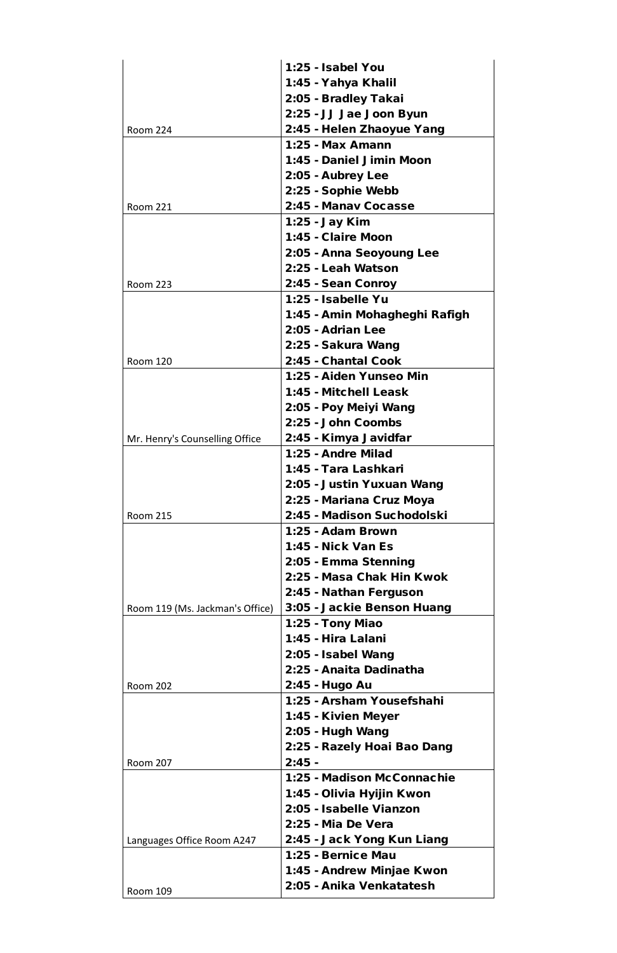|                                 | 1:25 - Isabel You                                    |
|---------------------------------|------------------------------------------------------|
|                                 | 1:45 - Yahya Khalil                                  |
|                                 | 2:05 - Bradley Takai                                 |
|                                 | 2:25 - JJ Jae Joon Byun                              |
| <b>Room 224</b>                 | 2:45 - Helen Zhaoyue Yang                            |
|                                 | 1:25 - Max Amann                                     |
|                                 | 1:45 - Daniel Jimin Moon                             |
|                                 | 2:05 - Aubrey Lee                                    |
|                                 | 2:25 - Sophie Webb                                   |
| <b>Room 221</b>                 | 2:45 - Manay Cocasse                                 |
|                                 | 1:25 - Jay Kim                                       |
|                                 | 1:45 - Claire Moon                                   |
|                                 | 2:05 - Anna Seoyoung Lee                             |
|                                 | 2:25 - Leah Watson                                   |
|                                 |                                                      |
| <b>Room 223</b>                 | 2:45 - Sean Conroy                                   |
|                                 | 1:25 - Isabelle Yu                                   |
|                                 | 1:45 - Amin Mohagheghi Rafigh                        |
|                                 | 2:05 - Adrian Lee                                    |
|                                 | 2:25 - Sakura Wang                                   |
| <b>Room 120</b>                 | 2:45 - Chantal Cook                                  |
|                                 | 1:25 - Aiden Yunseo Min                              |
|                                 | 1:45 - Mitchell Leask                                |
|                                 | 2:05 - Poy Meiyi Wang                                |
|                                 | 2:25 - John Coombs                                   |
| Mr. Henry's Counselling Office  | 2:45 - Kimya Javidfar                                |
|                                 | 1:25 - Andre Milad                                   |
|                                 | 1:45 - Tara Lashkari                                 |
|                                 | 2:05 - Justin Yuxuan Wang                            |
|                                 | 2:25 - Mariana Cruz Moya                             |
| <b>Room 215</b>                 | 2:45 - Madison Suchodolski                           |
|                                 | 1:25 - Adam Brown                                    |
|                                 | <b>1:45 - Nick Van Es</b>                            |
|                                 | 2:05 - Emma Stenning                                 |
|                                 | 2:25 - Masa Chak Hin Kwok                            |
|                                 | 2:45 - Nathan Ferguson                               |
| Room 119 (Ms. Jackman's Office) | 3:05 - Jackie Benson Huang                           |
|                                 | 1:25 - Tony Miao                                     |
|                                 | 1:45 - Hira Lalani                                   |
|                                 | 2:05 - Isabel Wang                                   |
|                                 | 2:25 - Anaita Dadinatha                              |
| <b>Room 202</b>                 | 2:45 - Hugo Au                                       |
|                                 | 1:25 - Arsham Yousefshahi                            |
|                                 | 1:45 - Kivien Meyer                                  |
|                                 | 2:05 - Hugh Wang                                     |
|                                 | 2:25 - Razely Hoai Bao Dang                          |
| <b>Room 207</b>                 | $2:45 -$                                             |
|                                 | 1:25 - Madison McConnachie                           |
|                                 |                                                      |
|                                 | 1:45 - Olivia Hyijin Kwon<br>2:05 - Isabelle Vianzon |
|                                 |                                                      |
|                                 | 2:25 - Mia De Vera                                   |
| Languages Office Room A247      | 2:45 - Jack Yong Kun Liang                           |
|                                 | 1:25 - Bernice Mau                                   |
|                                 | 1:45 - Andrew Minjae Kwon                            |
| <b>Room 109</b>                 | 2:05 - Anika Venkatatesh                             |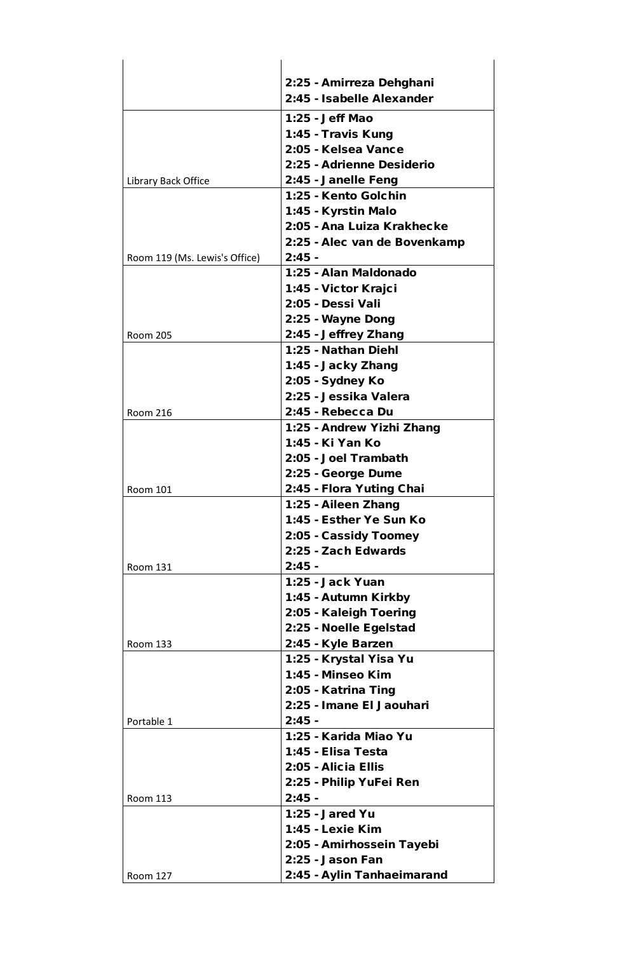|                               | 2:25 - Amirreza Dehghani                     |
|-------------------------------|----------------------------------------------|
|                               | 2:45 - Isabelle Alexander                    |
|                               | 1:25 - Jeff Mao                              |
|                               | 1:45 - Travis Kung                           |
|                               | 2:05 - Kelsea Vance                          |
|                               | 2:25 - Adrienne Desiderio                    |
| Library Back Office           | 2:45 - Janelle Feng                          |
|                               | 1:25 - Kento Golchin                         |
|                               | 1:45 - Kyrstin Malo                          |
|                               | 2:05 - Ana Luiza Krakhecke                   |
|                               | 2:25 - Alec van de Bovenkamp                 |
| Room 119 (Ms. Lewis's Office) | $2:45$ -                                     |
|                               | 1:25 - Alan Maldonado                        |
|                               | 1:45 - Victor Krajci                         |
|                               | 2:05 - Dessi Vali                            |
|                               | 2:25 - Wayne Dong                            |
| <b>Room 205</b>               | 2:45 - Jeffrey Zhang                         |
|                               | 1:25 - Nathan Diehl                          |
|                               |                                              |
|                               | 1:45 - Jacky Zhang                           |
|                               | 2:05 - Sydney Ko                             |
|                               | 2:25 - Jessika Valera                        |
| <b>Room 216</b>               | 2:45 - Rebecca Du                            |
|                               | 1:25 - Andrew Yizhi Zhang                    |
|                               | 1:45 - Ki Yan Ko                             |
|                               | 2:05 - Joel Trambath                         |
|                               | 2:25 - George Dume                           |
| <b>Room 101</b>               | 2:45 - Flora Yuting Chai                     |
|                               | 1:25 - Aileen Zhang                          |
|                               | 1:45 - Esther Ye Sun Ko                      |
|                               | 2:05 - Cassidy Toomey<br>2:25 - Zach Edwards |
| <b>Room 131</b>               | $2:45 -$                                     |
|                               | 1:25 - Jack Yuan                             |
|                               | 1:45 - Autumn Kirkby                         |
|                               | 2:05 - Kaleigh Toering                       |
|                               | 2:25 - Noelle Egelstad                       |
| <b>Room 133</b>               | 2:45 - Kyle Barzen                           |
|                               | 1:25 - Krystal Yisa Yu                       |
|                               | 1:45 - Minseo Kim                            |
|                               | 2:05 - Katrina Ting                          |
|                               | 2:25 - Imane El Jaouhari                     |
| Portable 1                    | $2:45 -$                                     |
|                               | 1:25 - Karida Miao Yu                        |
|                               | 1:45 - Elisa Testa                           |
|                               | 2:05 - Alicia Ellis                          |
|                               | 2:25 - Philip YuFei Ren                      |
| <b>Room 113</b>               | $2:45 -$                                     |
|                               | <b>1:25 - Jared Yu</b>                       |
|                               | 1:45 - Lexie Kim                             |
|                               | 2:05 - Amirhossein Tayebi                    |
|                               | 2:25 - Jason Fan                             |
| <b>Room 127</b>               | 2:45 - Aylin Tanhaeimarand                   |
|                               |                                              |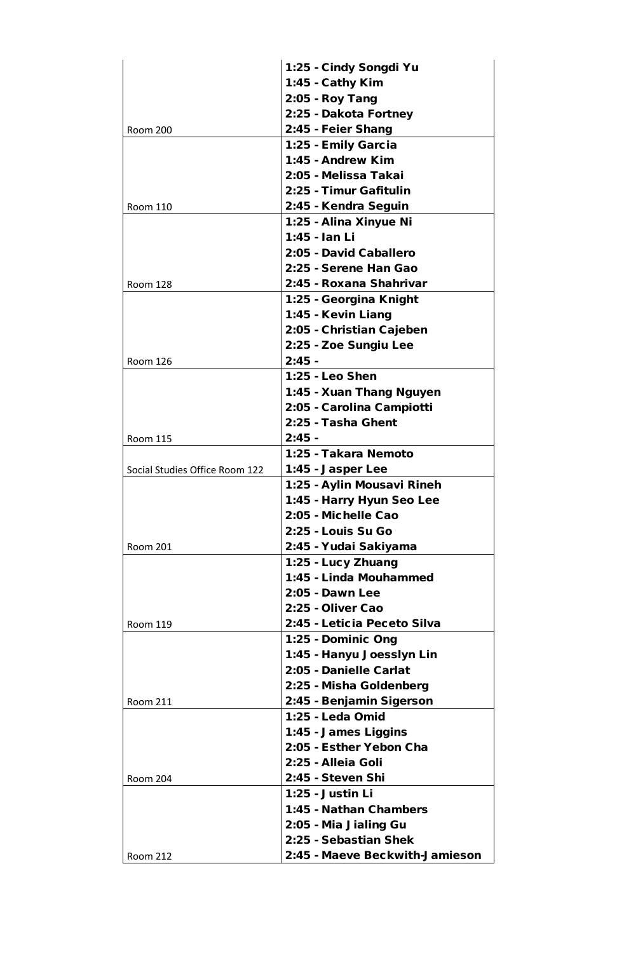|                                | 1:25 - Cindy Songdi Yu      |
|--------------------------------|-----------------------------|
|                                | 1:45 - Cathy Kim            |
|                                | 2:05 - Roy Tang             |
|                                | 2:25 - Dakota Fortney       |
| <b>Room 200</b>                | 2:45 - Feier Shang          |
|                                | 1:25 - Emily Garcia         |
|                                | 1:45 - Andrew Kim           |
|                                | 2:05 - Melissa Takai        |
|                                | 2:25 - Timur Gafitulin      |
| <b>Room 110</b>                | 2:45 - Kendra Seguin        |
|                                | 1:25 - Alina Xinyue Ni      |
|                                | 1:45 - Ian Li               |
|                                | 2:05 - David Caballero      |
|                                | 2:25 - Serene Han Gao       |
| <b>Room 128</b>                | 2:45 - Roxana Shahrivar     |
|                                | 1:25 - Georgina Knight      |
|                                | 1:45 - Kevin Liang          |
|                                | 2:05 - Christian Cajeben    |
|                                |                             |
|                                | 2:25 - Zoe Sungiu Lee       |
| <b>Room 126</b>                | $2:45 -$                    |
|                                | 1:25 - Leo Shen             |
|                                | 1:45 - Xuan Thang Nguyen    |
|                                | 2:05 - Carolina Campiotti   |
|                                | 2:25 - Tasha Ghent          |
| <b>Room 115</b>                | $2:45 -$                    |
|                                | 1:25 - Takara Nemoto        |
| Social Studies Office Room 122 | 1:45 - Jasper Lee           |
|                                | 1:25 - Aylin Mousavi Rineh  |
|                                | 1:45 - Harry Hyun Seo Lee   |
|                                | 2:05 - Michelle Cao         |
|                                | 2:25 - Louis Su Go          |
| <b>Room 201</b>                | 2:45 - Yudai Sakiyama       |
|                                | 1:25 - Lucy Zhuang          |
|                                | 1:45 - Linda Mouhammed      |
|                                | 2:05 - Dawn Lee             |
|                                | 2:25 - Oliver Cao           |
| <b>Room 119</b>                | 2:45 - Leticia Peceto Silva |
|                                | 1:25 - Dominic Ong          |
|                                | 1:45 - Hanyu Joesslyn Lin   |
|                                | 2:05 - Danielle Carlat      |
|                                | 2:25 - Misha Goldenberg     |
| <b>Room 211</b>                | 2:45 - Benjamin Sigerson    |
|                                | 1:25 - Leda Omid            |
|                                | 1:45 - James Liggins        |
|                                | 2:05 - Esther Yebon Cha     |
|                                | 2:25 - Alleia Goli          |
| <b>Room 204</b>                | 2:45 - Steven Shi           |
|                                | 1:25 - Justin Li            |
|                                | 1:45 - Nathan Chambers      |
|                                | 2:05 - Mia Jialing Gu       |
|                                | 2:25 - Sebastian Shek       |
|                                |                             |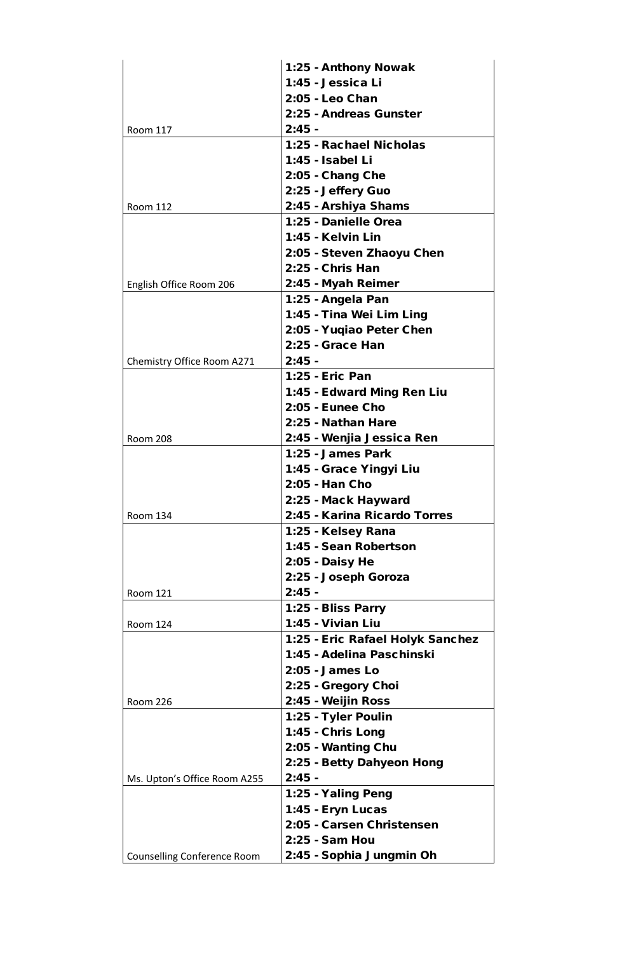|                                    | 1:25 - Anthony Nowak             |
|------------------------------------|----------------------------------|
|                                    | 1:45 - Jessica Li                |
|                                    | 2:05 - Leo Chan                  |
|                                    | 2:25 - Andreas Gunster           |
| <b>Room 117</b>                    | $2:45 -$                         |
|                                    | 1:25 - Rachael Nicholas          |
|                                    | 1:45 - Isabel Li                 |
|                                    | 2:05 - Chang Che                 |
|                                    | 2:25 - Jeffery Guo               |
| <b>Room 112</b>                    | 2:45 - Arshiya Shams             |
|                                    | 1:25 - Danielle Orea             |
|                                    | 1:45 - Kelvin Lin                |
|                                    | 2:05 - Steven Zhaoyu Chen        |
|                                    | 2:25 - Chris Han                 |
| English Office Room 206            | 2:45 - Myah Reimer               |
|                                    | 1:25 - Angela Pan                |
|                                    | 1:45 - Tina Wei Lim Ling         |
|                                    | 2:05 - Yuqiao Peter Chen         |
|                                    | 2:25 - Grace Han                 |
|                                    | $2:45 -$                         |
| Chemistry Office Room A271         |                                  |
|                                    | 1:25 - Eric Pan                  |
|                                    | 1:45 - Edward Ming Ren Liu       |
|                                    | <b>2:05 - Eunee Cho</b>          |
|                                    | 2:25 - Nathan Hare               |
| <b>Room 208</b>                    | 2:45 - Wenjia Jessica Ren        |
|                                    | 1:25 - James Park                |
|                                    | 1:45 - Grace Yingyi Liu          |
|                                    | 2:05 - Han Cho                   |
|                                    | 2:25 - Mack Hayward              |
| <b>Room 134</b>                    | 2:45 - Karina Ricardo Torres     |
|                                    | 1:25 - Kelsey Rana               |
|                                    | 1:45 - Sean Robertson            |
|                                    | 2:05 - Daisy He                  |
|                                    | 2:25 - Joseph Goroza             |
| <b>Room 121</b>                    | $2:45 -$                         |
|                                    | 1:25 - Bliss Parry               |
| <b>Room 124</b>                    | 1:45 - Vivian Liu                |
|                                    | 1:25 - Eric Rafael Holyk Sanchez |
|                                    | 1:45 - Adelina Paschinski        |
|                                    | $2:05$ - James Lo                |
|                                    | 2:25 - Gregory Choi              |
| <b>Room 226</b>                    | 2:45 - Weijin Ross               |
|                                    | 1:25 - Tyler Poulin              |
|                                    | 1:45 - Chris Long                |
|                                    | 2:05 - Wanting Chu               |
|                                    | 2:25 - Betty Dahyeon Hong        |
| Ms. Upton's Office Room A255       | $2:45 -$                         |
|                                    | 1:25 - Yaling Peng               |
|                                    | 1:45 - Eryn Lucas                |
|                                    | 2:05 - Carsen Christensen        |
|                                    | 2:25 - Sam Hou                   |
| <b>Counselling Conference Room</b> | 2:45 - Sophia Jungmin Oh         |